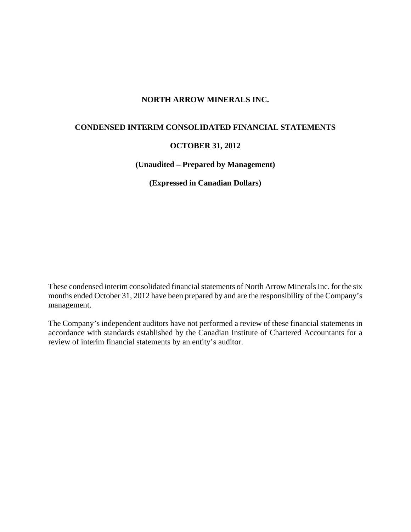# **NORTH ARROW MINERALS INC.**

# **CONDENSED INTERIM CONSOLIDATED FINANCIAL STATEMENTS**

## **OCTOBER 31, 2012**

**(Unaudited – Prepared by Management)** 

**(Expressed in Canadian Dollars)** 

These condensed interim consolidated financial statements of North Arrow Minerals Inc. for the six months ended October 31, 2012 have been prepared by and are the responsibility of the Company's management.

The Company's independent auditors have not performed a review of these financial statements in accordance with standards established by the Canadian Institute of Chartered Accountants for a review of interim financial statements by an entity's auditor.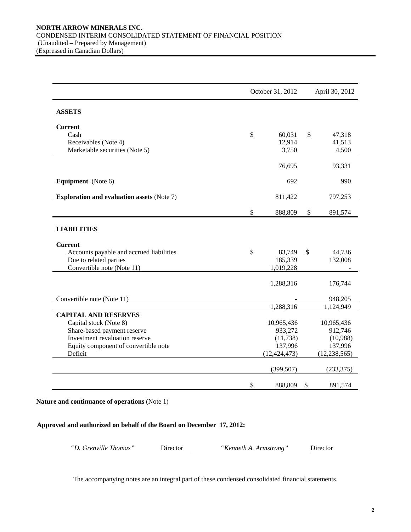|                                                   |               | October 31, 2012 | April 30, 2012 |
|---------------------------------------------------|---------------|------------------|----------------|
| <b>ASSETS</b>                                     |               |                  |                |
| <b>Current</b>                                    |               |                  |                |
| Cash                                              | $\mathcal{S}$ | 60,031           | \$<br>47,318   |
| Receivables (Note 4)                              |               | 12,914           | 41,513         |
| Marketable securities (Note 5)                    |               | 3,750            | 4,500          |
|                                                   |               | 76,695           | 93,331         |
| Equipment (Note 6)                                |               | 692              | 990            |
| <b>Exploration and evaluation assets (Note 7)</b> |               | 811,422          | 797,253        |
|                                                   | \$            | 888,809          | \$<br>891,574  |
| <b>LIABILITIES</b>                                |               |                  |                |
| <b>Current</b>                                    |               |                  |                |
| Accounts payable and accrued liabilities          | \$            | 83,749           | \$<br>44,736   |
| Due to related parties                            |               | 185,339          | 132,008        |
| Convertible note (Note 11)                        |               | 1,019,228        |                |
|                                                   |               | 1,288,316        | 176,744        |
| Convertible note (Note 11)                        |               |                  | 948,205        |
|                                                   |               | 1,288,316        | 1,124,949      |
| <b>CAPITAL AND RESERVES</b>                       |               |                  |                |
| Capital stock (Note 8)                            |               | 10,965,436       | 10,965,436     |
| Share-based payment reserve                       |               | 933,272          | 912,746        |
| Investment revaluation reserve                    |               | (11, 738)        | (10,988)       |
| Equity component of convertible note              |               | 137,996          | 137,996        |
| Deficit                                           |               | (12, 424, 473)   | (12, 238, 565) |
|                                                   |               | (399, 507)       | (233, 375)     |
|                                                   | \$            | 888,809          | \$<br>891,574  |

**Nature and continuance of operations** (Note 1)

## **Approved and authorized on behalf of the Board on December 17, 2012:**

| "D. Grenville Thomas" | Dir |
|-----------------------|-----|
|-----------------------|-----|

*"D. Grenville Thomas"* Director *"Kenneth A. Armstrong"* Director

The accompanying notes are an integral part of these condensed consolidated financial statements.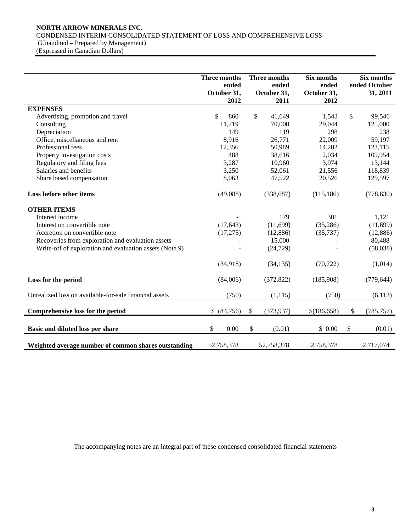# **NORTH ARROW MINERALS INC.**

CONDENSED INTERIM CONSOLIDATED STATEMENT OF LOSS AND COMPREHENSIVE LOSS

 (Unaudited – Prepared by Management) (Expressed in Canadian Dollars)

|                                                         | <b>Three months</b><br>ended<br>October 31,<br>2012 |               | Three months<br>ended<br>October 31,<br>2011 | Six months<br>ended<br>October 31,<br>2012 |              | Six months<br>ended October<br>31, 2011 |
|---------------------------------------------------------|-----------------------------------------------------|---------------|----------------------------------------------|--------------------------------------------|--------------|-----------------------------------------|
| <b>EXPENSES</b>                                         |                                                     |               |                                              |                                            |              |                                         |
| Advertising, promotion and travel                       | \$<br>860                                           |               | \$<br>41,649                                 | 1,543                                      | $\mathbb{S}$ | 99,546                                  |
| Consulting                                              | 11,719                                              |               | 70,000                                       | 29,044                                     |              | 125,000                                 |
| Depreciation                                            | 149                                                 |               | 119                                          | 298                                        |              | 238                                     |
| Office, miscellaneous and rent                          | 8,916                                               |               | 26,771                                       | 22,009                                     |              | 59,197                                  |
| Professional fees                                       | 12,356                                              |               | 50,989                                       | 14,202                                     |              | 123,115                                 |
| Property investigation costs                            | 488                                                 |               | 38,616                                       | 2,034                                      |              | 109,954                                 |
| Regulatory and filing fees                              | 3,287                                               |               | 10,960                                       | 3,974                                      |              | 13,144                                  |
| Salaries and benefits                                   | 3,250                                               |               | 52,061                                       | 21,556                                     |              | 118,839                                 |
| Share based compensation                                | 8,063                                               |               | 47,522                                       | 20,526                                     |              | 129,597                                 |
| Loss before other items                                 | (49,088)                                            |               | (338,687)                                    | (115, 186)                                 |              | (778, 630)                              |
| <b>OTHER ITEMS</b>                                      |                                                     |               |                                              |                                            |              |                                         |
| Interest income                                         |                                                     |               | 179                                          | 301                                        |              | 1,121                                   |
| Interest on convertible note                            | (17, 643)                                           |               | (11,699)                                     | (35, 286)                                  |              | (11,699)                                |
| Accretion on convertible note                           | (17,275)                                            |               | (12,886)                                     | (35, 737)                                  |              | (12,886)                                |
| Recoveries from exploration and evaluation assets       |                                                     |               | 15,000                                       |                                            |              | 80,488                                  |
| Write-off of exploration and evaluation assets (Note 9) |                                                     |               | (24, 729)                                    |                                            |              | (58,038)                                |
|                                                         | (34,918)                                            |               | (34, 135)                                    | (70, 722)                                  |              | (1,014)                                 |
| Loss for the period                                     | (84,006)                                            |               | (372, 822)                                   | (185,908)                                  |              | (779, 644)                              |
| Unrealized loss on available-for-sale financial assets  | (750)                                               |               | (1, 115)                                     | (750)                                      |              | (6,113)                                 |
| Comprehensive loss for the period                       | \$ (84,756)                                         | $\mathcal{S}$ | (373, 937)                                   | \$(186, 658)                               | \$           | (785, 757)                              |
| Basic and diluted loss per share                        | \$<br>0.00                                          | \$            | (0.01)                                       | \$0.00                                     | \$           | (0.01)                                  |
| Weighted average number of common shares outstanding    | 52,758,378                                          |               | 52,758,378                                   | 52,758,378                                 |              | 52,717,074                              |

The accompanying notes are an integral part of these condensed consolidated financial statements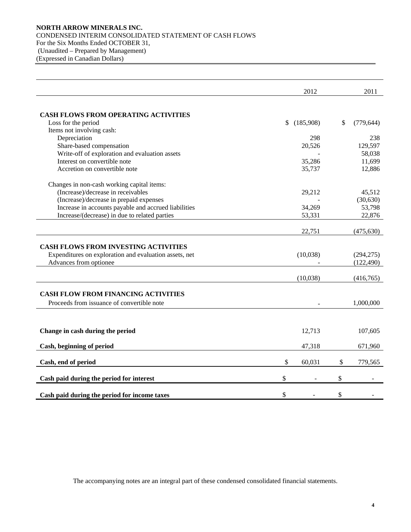## **NORTH ARROW MINERALS INC.**  CONDENSED INTERIM CONSOLIDATED STATEMENT OF CASH FLOWS For the Six Months Ended OCTOBER 31, (Unaudited – Prepared by Management) (Expressed in Canadian Dollars)

|                                                                                  | 2012            | 2011                     |
|----------------------------------------------------------------------------------|-----------------|--------------------------|
|                                                                                  |                 |                          |
| <b>CASH FLOWS FROM OPERATING ACTIVITIES</b>                                      |                 |                          |
| Loss for the period                                                              | \$<br>(185,908) | \$<br>(779, 644)         |
| Items not involving cash:                                                        |                 |                          |
| Depreciation                                                                     | 298             | 238                      |
| Share-based compensation                                                         | 20,526          | 129,597                  |
| Write-off of exploration and evaluation assets                                   |                 | 58,038                   |
| Interest on convertible note                                                     | 35,286          | 11,699                   |
| Accretion on convertible note                                                    | 35,737          | 12,886                   |
| Changes in non-cash working capital items:                                       |                 |                          |
| (Increase)/decrease in receivables                                               | 29,212          | 45,512                   |
| (Increase)/decrease in prepaid expenses                                          |                 | (30,630)                 |
| Increase in accounts payable and accrued liabilities                             | 34,269          | 53,798                   |
| Increase/(decrease) in due to related parties                                    | 53,331          | 22,876                   |
|                                                                                  |                 |                          |
|                                                                                  | 22,751          | (475, 630)               |
|                                                                                  |                 |                          |
| <b>CASH FLOWS FROM INVESTING ACTIVITIES</b>                                      | (10,038)        |                          |
| Expenditures on exploration and evaluation assets, net<br>Advances from optionee |                 | (294, 275)<br>(122, 490) |
|                                                                                  |                 |                          |
|                                                                                  | (10,038)        | (416,765)                |
|                                                                                  |                 |                          |
| <b>CASH FLOW FROM FINANCING ACTIVITIES</b>                                       |                 |                          |
| Proceeds from issuance of convertible note                                       |                 | 1,000,000                |
|                                                                                  |                 |                          |
|                                                                                  |                 |                          |
| Change in cash during the period                                                 | 12,713          | 107,605                  |
| Cash, beginning of period                                                        | 47,318          | 671,960                  |
| Cash, end of period                                                              | \$<br>60,031    | \$<br>779,565            |
|                                                                                  |                 |                          |
| Cash paid during the period for interest                                         | \$              | \$                       |
| Cash paid during the period for income taxes                                     | \$              | \$                       |
|                                                                                  |                 |                          |

The accompanying notes are an integral part of these condensed consolidated financial statements.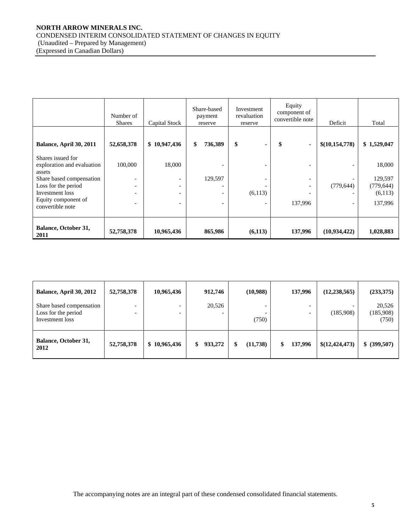## **NORTH ARROW MINERALS INC.**  CONDENSED INTERIM CONSOLIDATED STATEMENT OF CHANGES IN EQUITY (Unaudited – Prepared by Management) (Expressed in Canadian Dollars)

|                                                                    | Number of<br><b>Shares</b>                                                       | Capital Stock                                             | Share-based<br>payment<br>reserve | Investment<br>revaluation<br>reserve | Equity<br>component of<br>convertible note | Deficit                  | Total                            |
|--------------------------------------------------------------------|----------------------------------------------------------------------------------|-----------------------------------------------------------|-----------------------------------|--------------------------------------|--------------------------------------------|--------------------------|----------------------------------|
| Balance, April 30, 2011                                            | 52,658,378                                                                       | \$10,947,436                                              | \$<br>736,389                     | \$<br>$\blacksquare$                 | \$<br>$\blacksquare$                       | \$(10,154,778)           | \$1,529,047                      |
| Shares issued for<br>exploration and evaluation<br>assets          | 100,000                                                                          | 18,000                                                    |                                   |                                      |                                            |                          | 18,000                           |
| Share based compensation<br>Loss for the period<br>Investment loss | $\overline{\phantom{a}}$<br>$\overline{\phantom{0}}$<br>$\overline{\phantom{0}}$ | -<br>$\overline{\phantom{a}}$<br>$\overline{\phantom{a}}$ | 129,597                           | (6,113)                              | $\overline{\phantom{0}}$                   | (779, 644)               | 129,597<br>(779, 644)<br>(6,113) |
| Equity component of<br>convertible note                            | $\overline{\phantom{0}}$                                                         | ۰                                                         |                                   |                                      | 137,996                                    | $\overline{\phantom{0}}$ | 137,996                          |
| <b>Balance, October 31,</b><br>2011                                | 52,758,378                                                                       | 10,965,436                                                | 865,986                           | (6,113)                              | 137,996                                    | (10,934,422)             | 1,028,883                        |

| Balance, April 30, 2012                                            | 52,758,378               | 10,965,436                                           | 912,746 | (10,988) | 137,996                  | (12, 238, 565) | (233,375)                    |
|--------------------------------------------------------------------|--------------------------|------------------------------------------------------|---------|----------|--------------------------|----------------|------------------------------|
| Share based compensation<br>Loss for the period<br>Investment loss | $\overline{\phantom{0}}$ | $\overline{\phantom{0}}$<br>$\overline{\phantom{0}}$ | 20,526  | (750)    | $\overline{\phantom{0}}$ | (185,908)      | 20,526<br>(185,908)<br>(750) |
| <b>Balance, October 31,</b><br>2012                                | 52,758,378               | \$10,965,436                                         | 933,272 | (11,738) | 137,996                  | \$(12,424,473) | \$ (399,507)                 |

The accompanying notes are an integral part of these condensed consolidated financial statements.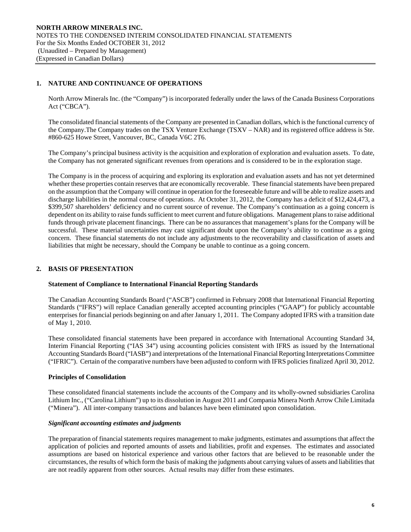## **1. NATURE AND CONTINUANCE OF OPERATIONS**

North Arrow Minerals Inc. (the "Company") is incorporated federally under the laws of the Canada Business Corporations Act ("CBCA").

The consolidated financial statements of the Company are presented in Canadian dollars, which is the functional currency of the Company.The Company trades on the TSX Venture Exchange (TSXV – NAR) and its registered office address is Ste. #860-625 Howe Street, Vancouver, BC, Canada V6C 2T6.

The Company's principal business activity is the acquisition and exploration of exploration and evaluation assets. To date, the Company has not generated significant revenues from operations and is considered to be in the exploration stage.

The Company is in the process of acquiring and exploring its exploration and evaluation assets and has not yet determined whether these properties contain reserves that are economically recoverable. These financial statements have been prepared on the assumption that the Company will continue in operation for the foreseeable future and will be able to realize assets and discharge liabilities in the normal course of operations. At October 31, 2012, the Company has a deficit of \$12,424,473, a \$399,507 shareholders' deficiency and no current source of revenue. The Company's continuation as a going concern is dependent on its ability to raise funds sufficient to meet current and future obligations. Management plans to raise additional funds through private placement financings. There can be no assurances that management's plans for the Company will be successful. These material uncertainties may cast significant doubt upon the Company's ability to continue as a going concern. These financial statements do not include any adjustments to the recoverability and classification of assets and liabilities that might be necessary, should the Company be unable to continue as a going concern.

## **2. BASIS OF PRESENTATION**

## **Statement of Compliance to International Financial Reporting Standards**

The Canadian Accounting Standards Board ("ASCB") confirmed in February 2008 that International Financial Reporting Standards ("IFRS") will replace Canadian generally accepted accounting principles ("GAAP") for publicly accountable enterprises for financial periods beginning on and after January 1, 2011. The Company adopted IFRS with a transition date of May 1, 2010.

These consolidated financial statements have been prepared in accordance with International Accounting Standard 34, Interim Financial Reporting ("IAS 34") using accounting policies consistent with IFRS as issued by the International Accounting Standards Board ("IASB") and interpretations of the International Financial Reporting Interpretations Committee ("IFRIC"). Certain of the comparative numbers have been adjusted to conform with IFRS policies finalized April 30, 2012.

#### **Principles of Consolidation**

These consolidated financial statements include the accounts of the Company and its wholly-owned subsidiaries Carolina Lithium Inc., ("Carolina Lithium") up to its dissolution in August 2011 and Compania Minera North Arrow Chile Limitada ("Minera"). All inter-company transactions and balances have been eliminated upon consolidation.

#### *Significant accounting estimates and judgments*

The preparation of financial statements requires management to make judgments, estimates and assumptions that affect the application of policies and reported amounts of assets and liabilities, profit and expenses. The estimates and associated assumptions are based on historical experience and various other factors that are believed to be reasonable under the circumstances, the results of which form the basis of making the judgments about carrying values of assets and liabilities that are not readily apparent from other sources. Actual results may differ from these estimates.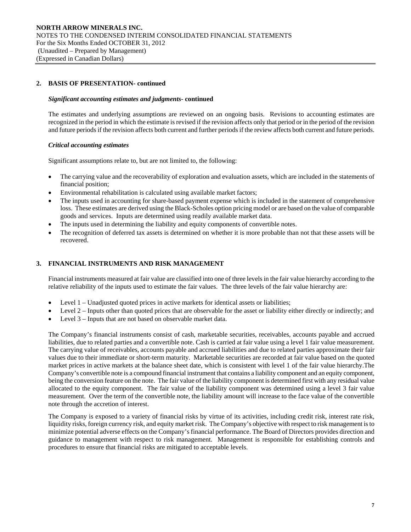## **2. BASIS OF PRESENTATION- continued**

#### *Significant accounting estimates and judgments***- continued**

 The estimates and underlying assumptions are reviewed on an ongoing basis. Revisions to accounting estimates are recognized in the period in which the estimate is revised if the revision affects only that period or in the period of the revision and future periods if the revision affects both current and further periods if the review affects both current and future periods.

#### *Critical accounting estimates*

Significant assumptions relate to, but are not limited to, the following:

- The carrying value and the recoverability of exploration and evaluation assets, which are included in the statements of financial position;
- Environmental rehabilitation is calculated using available market factors;
- The inputs used in accounting for share-based payment expense which is included in the statement of comprehensive loss. These estimates are derived using the Black-Scholes option pricing model or are based on the value of comparable goods and services. Inputs are determined using readily available market data.
- The inputs used in determining the liability and equity components of convertible notes.
- The recognition of deferred tax assets is determined on whether it is more probable than not that these assets will be recovered.

## **3. FINANCIAL INSTRUMENTS AND RISK MANAGEMENT**

Financial instruments measured at fair value are classified into one of three levels in the fair value hierarchy according to the relative reliability of the inputs used to estimate the fair values. The three levels of the fair value hierarchy are:

- Level 1 Unadjusted quoted prices in active markets for identical assets or liabilities;
- Level 2 Inputs other than quoted prices that are observable for the asset or liability either directly or indirectly; and
- Level 3 Inputs that are not based on observable market data.

The Company's financial instruments consist of cash, marketable securities, receivables, accounts payable and accrued liabilities, due to related parties and a convertible note. Cash is carried at fair value using a level 1 fair value measurement. The carrying value of receivables, accounts payable and accrued liabilities and due to related parties approximate their fair values due to their immediate or short-term maturity. Marketable securities are recorded at fair value based on the quoted market prices in active markets at the balance sheet date, which is consistent with level 1 of the fair value hierarchy.The Company's convertible note is a compound financial instrument that contains a liability component and an equity component, being the conversion feature on the note. The fair value of the liability component is determined first with any residual value allocated to the equity component. The fair value of the liability component was determined using a level 3 fair value measurement. Over the term of the convertible note, the liability amount will increase to the face value of the convertible note through the accretion of interest.

The Company is exposed to a variety of financial risks by virtue of its activities, including credit risk, interest rate risk, liquidity risks, foreign currency risk, and equity market risk. The Company's objective with respect to risk management is to minimize potential adverse effects on the Company's financial performance. The Board of Directors provides direction and guidance to management with respect to risk management. Management is responsible for establishing controls and procedures to ensure that financial risks are mitigated to acceptable levels.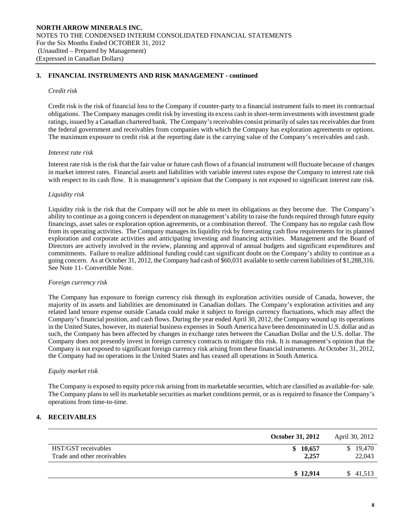## **3. FINANCIAL INSTRUMENTS AND RISK MANAGEMENT - continued**

#### *Credit risk*

Credit risk is the risk of financial loss to the Company if counter-party to a financial instrument fails to meet its contractual obligations. The Company manages credit risk by investing its excess cash in short-term investments with investment grade ratings, issued by a Canadian chartered bank. The Company's receivables consist primarily of sales tax receivables due from the federal government and receivables from companies with which the Company has exploration agreements or options. The maximum exposure to credit risk at the reporting date is the carrying value of the Company's receivables and cash.

#### *Interest rate risk*

Interest rate risk is the risk that the fair value or future cash flows of a financial instrument will fluctuate because of changes in market interest rates. Financial assets and liabilities with variable interest rates expose the Company to interest rate risk with respect to its cash flow. It is management's opinion that the Company is not exposed to significant interest rate risk.

## *Liquidity risk*

Liquidity risk is the risk that the Company will not be able to meet its obligations as they become due. The Company's ability to continue as a going concern is dependent on management's ability to raise the funds required through future equity financings, asset sales or exploration option agreements, or a combination thereof. The Company has no regular cash flow from its operating activities. The Company manages its liquidity risk by forecasting cash flow requirements for its planned exploration and corporate activities and anticipating investing and financing activities. Management and the Board of Directors are actively involved in the review, planning and approval of annual budgets and significant expenditures and commitments. Failure to realize additional funding could cast significant doubt on the Company's ability to continue as a going concern. As at October 31, 2012, the Company had cash of \$60,031 available to settle current liabilities of \$1,288,316. See Note 11- Convertible Note.

#### *Foreign currency risk*

 The Company has exposure to foreign currency risk through its exploration activities outside of Canada, however, the majority of its assets and liabilities are denominated in Canadian dollars. The Company's exploration activities and any related land tenure expense outside Canada could make it subject to foreign currency fluctuations, which may affect the Company's financial position, and cash flows. During the year ended April 30, 2012, the Company wound up its operations in the United States, however, its material business expenses in South America have been denominated in U.S. dollar and as such, the Company has been affected by changes in exchange rates between the Canadian Dollar and the U.S. dollar. The Company does not presently invest in foreign currency contracts to mitigate this risk. It is management's opinion that the Company is not exposed to significant foreign currency risk arising from these financial instruments. At October 31, 2012, the Company had no operations in the United States and has ceased all operations in South America.

## *Equity market risk*

The Company is exposed to equity price risk arising from its marketable securities, which are classified as available-for- sale. The Company plans to sell its marketable securities as market conditions permit, or as is required to finance the Company's operations from time-to-time.

## **4. RECEIVABLES**

|                                                    | <b>October 31, 2012</b> | April 30, 2012     |
|----------------------------------------------------|-------------------------|--------------------|
| HST/GST receivables<br>Trade and other receivables | \$10,657<br>2,257       | \$19,470<br>22,043 |
|                                                    | \$12,914                | \$ 41,513          |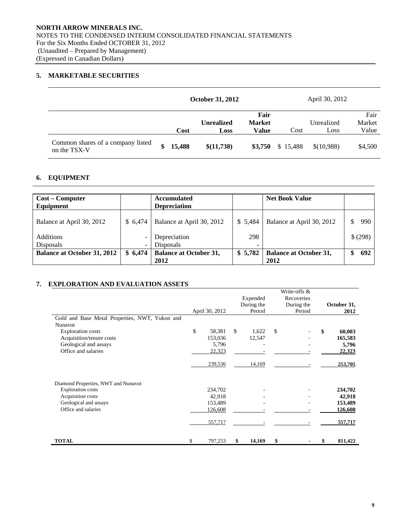# **5. MARKETABLE SECURITIES**

|                                                   |        | <b>October 31, 2012</b> |               |          | April 30, 2012 |         |
|---------------------------------------------------|--------|-------------------------|---------------|----------|----------------|---------|
|                                                   |        |                         | Fair          |          |                | Fair    |
|                                                   |        | <b>Unrealized</b>       | <b>Market</b> |          | Unrealized     | Market  |
|                                                   | Cost   | Loss                    | Value         | Cost     | Loss           | Value   |
| Common shares of a company listed<br>on the TSX-V | 15,488 | \$(11,738)              | \$3,750       | \$15,488 | \$(10,988)     | \$4,500 |

## **6. EQUIPMENT**

| <b>Cost – Computer</b><br>Equipment |         | <b>Accumulated</b><br><b>Depreciation</b> |         | <b>Net Book Value</b>                 |          |
|-------------------------------------|---------|-------------------------------------------|---------|---------------------------------------|----------|
| Balance at April 30, 2012           | \$6.474 | Balance at April 30, 2012                 | \$5,484 | Balance at April 30, 2012             | 990      |
| <b>Additions</b><br>Disposals       |         | Depreciation<br>Disposals                 | 298     |                                       | \$ (298) |
| <b>Balance at October 31, 2012</b>  | \$6.474 | <b>Balance at October 31,</b><br>2012     | \$5,782 | <b>Balance at October 31,</b><br>2012 | 692      |

## **7. EXPLORATION AND EVALUATION ASSETS**

|                                                |                |    | Expended   | Write-offs &<br>Recoveries |               |
|------------------------------------------------|----------------|----|------------|----------------------------|---------------|
|                                                |                |    | During the | During the                 | October 31,   |
|                                                | April 30, 2012 |    | Period     | Period                     | 2012          |
| Gold and Base Metal Properties, NWT, Yukon and |                |    |            |                            |               |
| Nunavut                                        |                |    |            |                            |               |
| <b>Exploration costs</b>                       | \$<br>58,381   | \$ | 1,622      | \$                         | \$<br>60,003  |
| Acquisition/tenure costs                       | 153,036        |    | 12,547     |                            | 165,583       |
| Geological and assays                          | 5,796          |    |            |                            | 5,796         |
| Office and salaries                            | 22,323         |    |            |                            | 22,323        |
|                                                | 239,536        |    | 14,169     |                            | 253,705       |
| Diamond Properties, NWT and Nunavut            |                |    |            |                            |               |
| <b>Exploration</b> costs                       | 234,702        |    |            |                            | 234,702       |
| Acquisition costs                              | 42,918         |    |            |                            | 42,918        |
| Geological and assays                          | 153,489        |    |            |                            | 153,489       |
| Office and salaries                            | 126,608        |    |            |                            | 126,608       |
|                                                | 557,717        |    |            |                            | 557,717       |
| <b>TOTAL</b>                                   | \$<br>797,253  | S  | 14,169     | \$                         | \$<br>811,422 |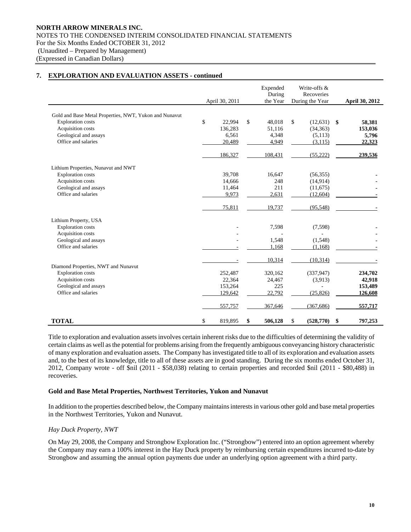## **7. EXPLORATION AND EVALUATION ASSETS - continued**

|                                                        | April 30, 2011 | Expended<br>During<br>the Year | Write-offs &<br>Recoveries<br>During the Year | <b>April 30, 2012</b> |
|--------------------------------------------------------|----------------|--------------------------------|-----------------------------------------------|-----------------------|
|                                                        |                |                                |                                               |                       |
| Gold and Base Metal Properties, NWT, Yukon and Nunavut |                |                                |                                               |                       |
| <b>Exploration</b> costs                               | \$<br>22.994   | \$<br>48,018                   | \$<br>(12, 631)                               | \$<br>58,381          |
| Acquisition costs                                      | 136,283        | 51,116                         | (34, 363)                                     | 153,036               |
| Geological and assays                                  | 6,561          | 4,348                          | (5,113)                                       | 5,796                 |
| Office and salaries                                    | 20,489         | 4,949                          | (3, 115)                                      | 22,323                |
|                                                        | 186,327        | 108,431                        | (55, 222)                                     | 239,536               |
| Lithium Properties, Nunavut and NWT                    |                |                                |                                               |                       |
| <b>Exploration</b> costs                               | 39,708         | 16,647                         | (56, 355)                                     |                       |
| Acquisition costs                                      | 14,666         | 248                            | (14, 914)                                     |                       |
| Geological and assays                                  | 11,464         | 211                            | (11,675)                                      |                       |
| Office and salaries                                    | 9,973          | 2,631                          | (12,604)                                      |                       |
|                                                        |                |                                |                                               |                       |
|                                                        | 75,811         | 19,737                         | (95, 548)                                     |                       |
| Lithium Property, USA                                  |                |                                |                                               |                       |
| <b>Exploration</b> costs                               |                | 7,598                          | (7,598)                                       |                       |
| Acquisition costs                                      |                |                                |                                               |                       |
| Geological and assays                                  |                | 1,548                          | (1,548)                                       |                       |
| Office and salaries                                    |                | 1,168                          | (1,168)                                       |                       |
|                                                        |                |                                |                                               |                       |
|                                                        |                | 10,314                         | (10, 314)                                     |                       |
| Diamond Properties, NWT and Nunavut                    |                |                                |                                               |                       |
| <b>Exploration</b> costs                               | 252,487        | 320,162                        | (337, 947)                                    | 234,702               |
| Acquisition costs                                      | 22,364         | 24,467                         | (3,913)                                       | 42,918                |
| Geological and assays                                  | 153,264        | 225                            |                                               | 153,489               |
| Office and salaries                                    | 129,642        | 22,792                         | (25, 826)                                     | 126,608               |
|                                                        | 557,757        | 367,646                        | (367, 686)                                    | 557,717               |
| <b>TOTAL</b>                                           | \$<br>819,895  | \$<br>506,128                  | \$<br>(528, 770)                              | \$<br>797,253         |

 Title to exploration and evaluation assets involves certain inherent risks due to the difficulties of determining the validity of certain claims as well as the potential for problems arising from the frequently ambiguous conveyancing history characteristic of many exploration and evaluation assets. The Company has investigated title to all of its exploration and evaluation assets and, to the best of its knowledge, title to all of these assets are in good standing. During the six months ended October 31, 2012, Company wrote - off \$nil (2011 - \$58,038) relating to certain properties and recorded \$nil (2011 - \$80,488) in recoveries.

#### **Gold and Base Metal Properties, Northwest Territories, Yukon and Nunavut**

In addition to the properties described below, the Company maintains interests in various other gold and base metal properties in the Northwest Territories, Yukon and Nunavut.

## *Hay Duck Property, NWT*

On May 29, 2008, the Company and Strongbow Exploration Inc. ("Strongbow") entered into an option agreement whereby the Company may earn a 100% interest in the Hay Duck property by reimbursing certain expenditures incurred to-date by Strongbow and assuming the annual option payments due under an underlying option agreement with a third party.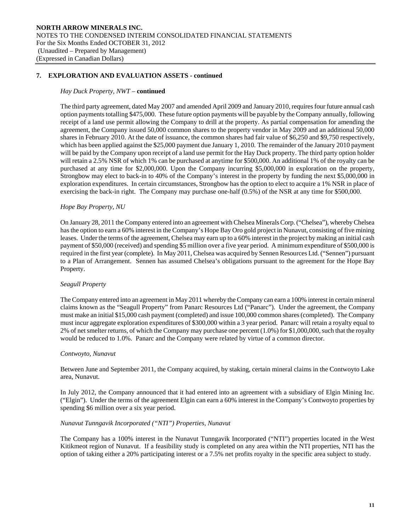## **7. EXPLORATION AND EVALUATION ASSETS - continued**

#### *Hay Duck Property, NWT –* **continued**

The third party agreement, dated May 2007 and amended April 2009 and January 2010, requires four future annual cash option payments totalling \$475,000. These future option payments will be payable by the Company annually, following receipt of a land use permit allowing the Company to drill at the property. As partial compensation for amending the agreement, the Company issued 50,000 common shares to the property vendor in May 2009 and an additional 50,000 shares in February 2010. At the date of issuance, the common shares had fair value of \$6,250 and \$9,750 respectively, which has been applied against the \$25,000 payment due January 1, 2010. The remainder of the January 2010 payment will be paid by the Company upon receipt of a land use permit for the Hay Duck property. The third party option holder will retain a 2.5% NSR of which 1% can be purchased at anytime for \$500,000. An additional 1% of the royalty can be purchased at any time for \$2,000,000. Upon the Company incurring \$5,000,000 in exploration on the property, Strongbow may elect to back-in to 40% of the Company's interest in the property by funding the next \$5,000,000 in exploration expenditures. In certain circumstances, Strongbow has the option to elect to acquire a 1% NSR in place of exercising the back-in right. The Company may purchase one-half (0.5%) of the NSR at any time for \$500,000.

#### *Hope Bay Property, NU*

On January 28, 2011 the Company entered into an agreement with Chelsea Minerals Corp. ("Chelsea"), whereby Chelsea has the option to earn a 60% interest in the Company's Hope Bay Oro gold project in Nunavut, consisting of five mining leases. Under the terms of the agreement, Chelsea may earn up to a 60% interest in the project by making an initial cash payment of \$50,000 (received) and spending \$5 million over a five year period. A minimum expenditure of \$500,000 is required in the first year (complete). In May 2011, Chelsea was acquired by Sennen Resources Ltd. ("Sennen") pursuant to a Plan of Arrangement. Sennen has assumed Chelsea's obligations pursuant to the agreement for the Hope Bay Property.

#### *Seagull Property*

The Company entered into an agreement in May 2011 whereby the Company can earn a 100% interest in certain mineral claims known as the "Seagull Property" from Panarc Resources Ltd ("Panarc"). Under the agreement, the Company must make an initial \$15,000 cash payment (completed) and issue 100,000 common shares (completed). The Company must incur aggregate exploration expenditures of \$300,000 within a 3 year period. Panarc will retain a royalty equal to 2% of net smelter returns, of which the Company may purchase one percent (1.0%) for \$1,000,000, such that the royalty would be reduced to 1.0%. Panarc and the Company were related by virtue of a common director.

#### *Contwoyto, Nunavut*

Between June and September 2011, the Company acquired, by staking, certain mineral claims in the Contwoyto Lake area, Nunavut.

In July 2012, the Company announced that it had entered into an agreement with a subsidiary of Elgin Mining Inc. ("Elgin"). Under the terms of the agreement Elgin can earn a 60% interest in the Company's Contwoyto properties by spending \$6 million over a six year period.

#### *Nunavut Tunngavik Incorporated ("NTI") Properties, Nunavut*

The Company has a 100% interest in the Nunavut Tunngavik Incorporated ("NTI") properties located in the West Kitikmeot region of Nunavut. If a feasibility study is completed on any area within the NTI properties, NTI has the option of taking either a 20% participating interest or a 7.5% net profits royalty in the specific area subject to study.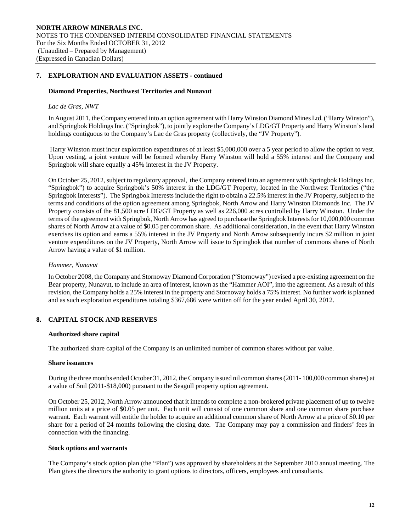## **7. EXPLORATION AND EVALUATION ASSETS - continued**

#### **Diamond Properties, Northwest Territories and Nunavut**

#### *Lac de Gras, NWT*

In August 2011, the Company entered into an option agreement with Harry Winston Diamond Mines Ltd. ("Harry Winston"), and Springbok Holdings Inc. ("Springbok"), to jointly explore the Company's LDG/GT Property and Harry Winston's land holdings contiguous to the Company's Lac de Gras property (collectively, the "JV Property").

 Harry Winston must incur exploration expenditures of at least \$5,000,000 over a 5 year period to allow the option to vest. Upon vesting, a joint venture will be formed whereby Harry Winston will hold a 55% interest and the Company and Springbok will share equally a 45% interest in the JV Property.

On October 25, 2012, subject to regulatory approval, the Company entered into an agreement with Springbok Holdings Inc. "Springbok") to acquire Springbok's 50% interest in the LDG/GT Property, located in the Northwest Territories ("the Springbok Interests"). The Springbok Interests include the right to obtain a 22.5% interest in the JV Property, subject to the terms and conditions of the option agreement among Springbok, North Arrow and Harry Winston Diamonds Inc. The JV Property consists of the 81,500 acre LDG/GT Property as well as 226,000 acres controlled by Harry Winston. Under the terms of the agreement with Springbok, North Arrow has agreed to purchase the Springbok Interests for 10,000,000 common shares of North Arrow at a value of \$0.05 per common share. As additional consideration, in the event that Harry Winston exercises its option and earns a 55% interest in the JV Property and North Arrow subsequently incurs \$2 million in joint venture expenditures on the JV Property, North Arrow will issue to Springbok that number of commons shares of North Arrow having a value of \$1 million.

#### *Hammer, Nunavut*

In October 2008, the Company and Stornoway Diamond Corporation ("Stornoway") revised a pre-existing agreement on the Bear property, Nunavut, to include an area of interest, known as the "Hammer AOI", into the agreement. As a result of this revision, the Company holds a 25% interest in the property and Stornoway holds a 75% interest. No further work is planned and as such exploration expenditures totaling \$367,686 were written off for the year ended April 30, 2012.

## **8. CAPITAL STOCK AND RESERVES**

#### **Authorized share capital**

The authorized share capital of the Company is an unlimited number of common shares without par value.

#### **Share issuances**

During the three months ended October 31, 2012, the Company issued nil common shares (2011- 100,000 common shares) at a value of \$nil (2011-\$18,000) pursuant to the Seagull property option agreement.

On October 25, 2012, North Arrow announced that it intends to complete a non-brokered private placement of up to twelve million units at a price of \$0.05 per unit. Each unit will consist of one common share and one common share purchase warrant. Each warrant will entitle the holder to acquire an additional common share of North Arrow at a price of \$0.10 per share for a period of 24 months following the closing date. The Company may pay a commission and finders' fees in connection with the financing.

#### **Stock options and warrants**

The Company's stock option plan (the "Plan") was approved by shareholders at the September 2010 annual meeting. The Plan gives the directors the authority to grant options to directors, officers, employees and consultants.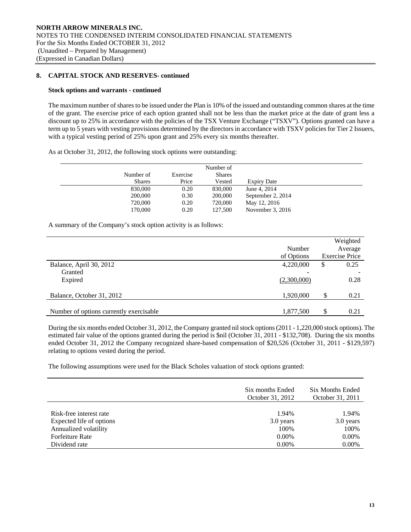## **8. CAPITAL STOCK AND RESERVES- continued**

#### **Stock options and warrants - continued**

 The maximum number of shares to be issued under the Plan is 10% of the issued and outstanding common shares at the time of the grant. The exercise price of each option granted shall not be less than the market price at the date of grant less a discount up to 25% in accordance with the policies of the TSX Venture Exchange ("TSXV"). Options granted can have a term up to 5 years with vesting provisions determined by the directors in accordance with TSXV policies for Tier 2 Issuers, with a typical vesting period of 25% upon grant and 25% every six months thereafter.

As at October 31, 2012, the following stock options were outstanding:

|               |          | Number of     |                    |
|---------------|----------|---------------|--------------------|
| Number of     | Exercise | <b>Shares</b> |                    |
| <b>Shares</b> | Price    | Vested        | <b>Expiry Date</b> |
| 830,000       | 0.20     | 830,000       | June 4, 2014       |
| 200,000       | 0.30     | 200,000       | September 2, 2014  |
| 720,000       | 0.20     | 720,000       | May 12, 2016       |
| 170,000       | 0.20     | 127,500       | November $3, 2016$ |

A summary of the Company's stock option activity is as follows:

|                                         | Number<br>of Options | Weighted<br>Average<br><b>Exercise Price</b> |      |
|-----------------------------------------|----------------------|----------------------------------------------|------|
| Balance, April 30, 2012                 | 4,220,000            | \$                                           | 0.25 |
| Granted                                 |                      |                                              |      |
| Expired                                 | (2,300,000)          |                                              | 0.28 |
| Balance, October 31, 2012               | 1,920,000            | \$                                           | 0.21 |
|                                         |                      |                                              |      |
| Number of options currently exercisable | 1,877,500            | \$                                           | 0.21 |

 During the six months ended October 31, 2012, the Company granted nil stock options (2011 - 1,220,000 stock options). The estimated fair value of the options granted during the period is \$nil (October 31, 2011 - \$132,708). During the six months ended October 31, 2012 the Company recognized share-based compensation of \$20,526 (October 31, 2011 - \$129,597) relating to options vested during the period.

The following assumptions were used for the Black Scholes valuation of stock options granted:

|                          | Six months Ended<br>October 31, 2012 | Six Months Ended<br>October 31, 2011 |
|--------------------------|--------------------------------------|--------------------------------------|
| Risk-free interest rate  | 1.94%                                | 1.94%                                |
| Expected life of options | 3.0 years                            | 3.0 years                            |
| Annualized volatility    | 100\%                                | 100%                                 |
| <b>Forfeiture Rate</b>   | $0.00\%$                             | $0.00\%$                             |
| Dividend rate            | $0.00\%$                             | 0.00%                                |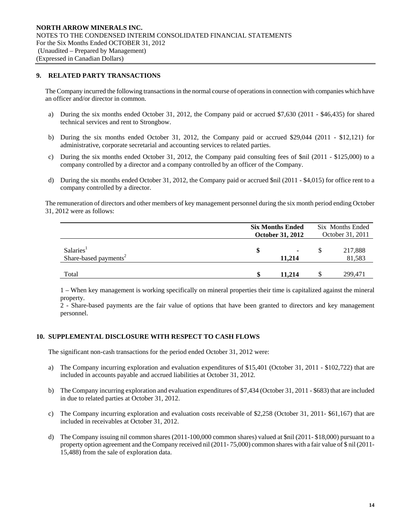## **9. RELATED PARTY TRANSACTIONS**

The Company incurred the following transactions in the normal course of operations in connection with companies which have an officer and/or director in common.

- a) During the six months ended October 31, 2012, the Company paid or accrued \$7,630 (2011 \$46,435) for shared technical services and rent to Strongbow.
- b) During the six months ended October 31, 2012, the Company paid or accrued \$29,044 (2011 \$12,121) for administrative, corporate secretarial and accounting services to related parties.
- c) During the six months ended October 31, 2012, the Company paid consulting fees of \$nil (2011 \$125,000) to a company controlled by a director and a company controlled by an officer of the Company.
- d) During the six months ended October 31, 2012, the Company paid or accrued \$nil (2011 \$4,015) for office rent to a company controlled by a director.

The remuneration of directors and other members of key management personnel during the six month period ending October 31, 2012 were as follows:

|                                                            |   | <b>Six Months Ended</b><br><b>October 31, 2012</b> |   | Six Months Ended<br>October 31, 2011 |  |
|------------------------------------------------------------|---|----------------------------------------------------|---|--------------------------------------|--|
| Salaries <sup>1</sup><br>Share-based payments <sup>2</sup> | S | $\blacksquare$<br>11.214                           | S | 217,888<br>81,583                    |  |
| Total                                                      |   | 11.214                                             |   | 299,471                              |  |

1 – When key management is working specifically on mineral properties their time is capitalized against the mineral property.

2 - Share-based payments are the fair value of options that have been granted to directors and key management personnel.

## **10. SUPPLEMENTAL DISCLOSURE WITH RESPECT TO CASH FLOWS**

The significant non-cash transactions for the period ended October 31, 2012 were:

- a) The Company incurring exploration and evaluation expenditures of \$15,401 (October 31, 2011 \$102,722) that are included in accounts payable and accrued liabilities at October 31, 2012.
- b) The Company incurring exploration and evaluation expenditures of \$7,434 (October 31, 2011 \$683) that are included in due to related parties at October 31, 2012.
- c) The Company incurring exploration and evaluation costs receivable of \$2,258 (October 31, 2011- \$61,167) that are included in receivables at October 31, 2012.
- d) The Company issuing nil common shares (2011-100,000 common shares) valued at \$nil (2011- \$18,000) pursuant to a property option agreement and the Company received nil (2011- 75,000) common shares with a fair value of \$ nil (2011- 15,488) from the sale of exploration data.